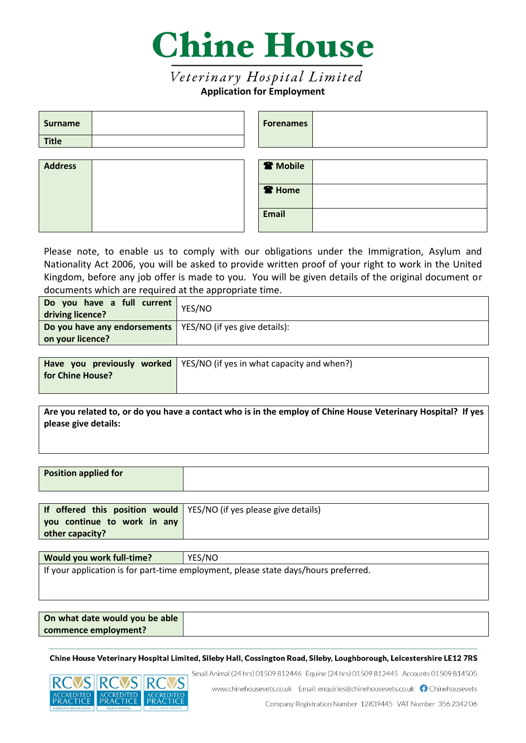

# Veterinary Hospital Limited **Application for Employment**

| <b>Surname</b> |  | <b>Forenames</b>    |  |
|----------------|--|---------------------|--|
| <b>Title</b>   |  |                     |  |
|                |  |                     |  |
| <b>Address</b> |  | <sup>2</sup> Mobile |  |
|                |  | <b>R</b> Home       |  |
|                |  | Email               |  |

Please note, to enable us to comply with our obligations under the Immigration, Asylum and Nationality Act 2006, you will be asked to provide written proof of your right to work in the United Kingdom, before any job offer is made to you. You will be given details of the original document or documents which are required at the appropriate time.

| <b>Do you have any endorsements</b>   YES/NO (if yes give details):<br>on your licence? |  |
|-----------------------------------------------------------------------------------------|--|

|                  | <b>Have you previously worked</b>   YES/NO (if yes in what capacity and when?) |
|------------------|--------------------------------------------------------------------------------|
| for Chine House? |                                                                                |
|                  |                                                                                |

**Are you related to, or do you have a contact who is in the employ of Chine House Veterinary Hospital? If yes please give details:**

| Position applied for |  |
|----------------------|--|
|                      |  |

| If offered this position would $\sqrt{25}$ YES/NO (if yes please give details) |  |
|--------------------------------------------------------------------------------|--|
| you continue to work in any                                                    |  |
| other capacity?                                                                |  |

| YES/NO<br>Would you work full-time?                                                 |  |  |  |
|-------------------------------------------------------------------------------------|--|--|--|
| If your application is for part-time employment, please state days/hours preferred. |  |  |  |
|                                                                                     |  |  |  |

| On what date would you be able |  |
|--------------------------------|--|
| commence employment?           |  |

Chine House Veterinary Hospital Limited, Sileby Hall, Cossington Road, Sileby, Loughborough, Leicestershire LE12 7RS



Small Animal (24 hrs) 01509 812446 Equine (24 hrs) 01509 812445 Accounts 01509 814505

www.chinehousevets.co.uk Email: enquiries@chinehousevets.co.uk nchinehousevets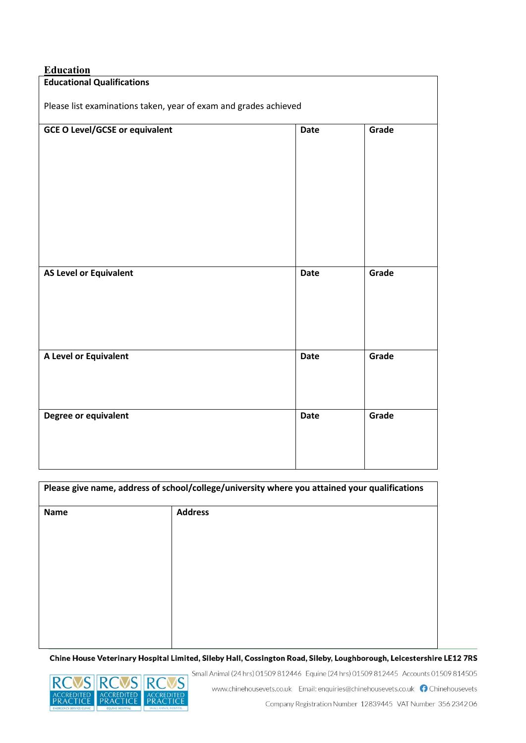## **Education**

| <u>Luututum</u>                                                  |             |       |  |
|------------------------------------------------------------------|-------------|-------|--|
| <b>Educational Qualifications</b>                                |             |       |  |
| Please list examinations taken, year of exam and grades achieved |             |       |  |
| <b>GCE O Level/GCSE or equivalent</b>                            | <b>Date</b> | Grade |  |
|                                                                  |             |       |  |
|                                                                  |             |       |  |
| <b>AS Level or Equivalent</b>                                    | <b>Date</b> | Grade |  |
| A Level or Equivalent                                            | <b>Date</b> | Grade |  |
| Degree or equivalent                                             | <b>Date</b> | Grade |  |

| Please give name, address of school/college/university where you attained your qualifications |                |  |  |
|-----------------------------------------------------------------------------------------------|----------------|--|--|
| <b>Name</b>                                                                                   | <b>Address</b> |  |  |
|                                                                                               |                |  |  |
|                                                                                               |                |  |  |
|                                                                                               |                |  |  |
|                                                                                               |                |  |  |
|                                                                                               |                |  |  |
|                                                                                               |                |  |  |
|                                                                                               |                |  |  |

Chine House Veterinary Hospital Limited, Sileby Hall, Cossington Road, Sileby, Loughborough, Leicestershire LE12 7RS



Small Animal (24 hrs) 01509 812446 Equine (24 hrs) 01509 812445 Accounts 01509 814505 www.chinehousevets.co.uk Email: enquiries@chinehousevets.co.uk nChinehousevets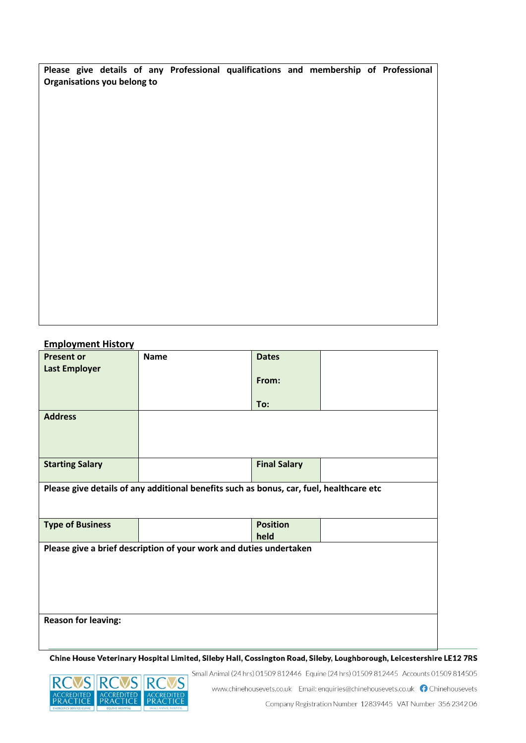**Please give details of any Professional qualifications and membership of Professional Organisations you belong to**

## **Employment History**

| <b>Present or</b>          | <b>Name</b>                                                                             | <b>Dates</b>        |  |
|----------------------------|-----------------------------------------------------------------------------------------|---------------------|--|
| <b>Last Employer</b>       |                                                                                         |                     |  |
|                            |                                                                                         | From:               |  |
|                            |                                                                                         |                     |  |
|                            |                                                                                         |                     |  |
|                            |                                                                                         | To:                 |  |
| <b>Address</b>             |                                                                                         |                     |  |
|                            |                                                                                         |                     |  |
|                            |                                                                                         |                     |  |
|                            |                                                                                         |                     |  |
|                            |                                                                                         |                     |  |
| <b>Starting Salary</b>     |                                                                                         | <b>Final Salary</b> |  |
|                            |                                                                                         |                     |  |
|                            | Please give details of any additional benefits such as bonus, car, fuel, healthcare etc |                     |  |
|                            |                                                                                         |                     |  |
|                            |                                                                                         |                     |  |
|                            |                                                                                         |                     |  |
|                            |                                                                                         |                     |  |
|                            |                                                                                         | <b>Position</b>     |  |
| <b>Type of Business</b>    |                                                                                         |                     |  |
|                            |                                                                                         | held                |  |
|                            | Please give a brief description of your work and duties undertaken                      |                     |  |
|                            |                                                                                         |                     |  |
|                            |                                                                                         |                     |  |
|                            |                                                                                         |                     |  |
|                            |                                                                                         |                     |  |
|                            |                                                                                         |                     |  |
|                            |                                                                                         |                     |  |
| <b>Reason for leaving:</b> |                                                                                         |                     |  |
|                            |                                                                                         |                     |  |
|                            |                                                                                         |                     |  |

Chine House Veterinary Hospital Limited, Sileby Hall, Cossington Road, Sileby, Loughborough, Leicestershire LE12 7RS



www.chinehousevets.co.uk Email: enquiries@chinehousevets.co.uk nChinehousevets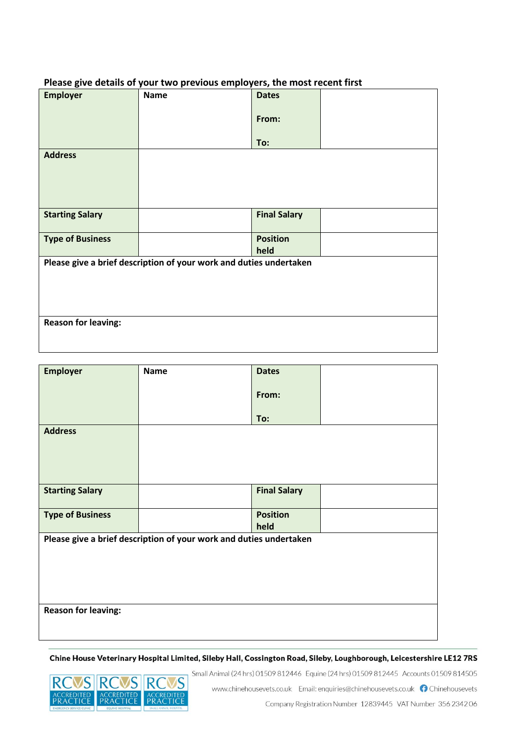| Please give details of your two previous employers, the most recent first |             |              |  |  |
|---------------------------------------------------------------------------|-------------|--------------|--|--|
| <b>Employer</b>                                                           | <b>Name</b> | <b>Dates</b> |  |  |
|                                                                           |             |              |  |  |
|                                                                           |             |              |  |  |
|                                                                           |             | From:        |  |  |
|                                                                           |             |              |  |  |
|                                                                           |             |              |  |  |
|                                                                           |             |              |  |  |
|                                                                           |             | To:          |  |  |

### **Please give details of your two previous employers, the most recent first**

**Address**

| <b>Starting Salary</b>     | <b>Final Salary</b>                                                |  |
|----------------------------|--------------------------------------------------------------------|--|
| <b>Type of Business</b>    | <b>Position</b>                                                    |  |
|                            | held                                                               |  |
|                            | Please give a brief description of your work and duties undertaken |  |
|                            |                                                                    |  |
|                            |                                                                    |  |
|                            |                                                                    |  |
|                            |                                                                    |  |
| <b>Reason for leaving:</b> |                                                                    |  |
|                            |                                                                    |  |
|                            |                                                                    |  |

| <b>Employer</b>                                                    | <b>Name</b> | <b>Dates</b>        |  |  |
|--------------------------------------------------------------------|-------------|---------------------|--|--|
|                                                                    |             | From:               |  |  |
|                                                                    |             | To:                 |  |  |
| <b>Address</b>                                                     |             |                     |  |  |
|                                                                    |             |                     |  |  |
|                                                                    |             |                     |  |  |
|                                                                    |             |                     |  |  |
| <b>Starting Salary</b>                                             |             | <b>Final Salary</b> |  |  |
| <b>Type of Business</b>                                            |             | <b>Position</b>     |  |  |
|                                                                    |             | held                |  |  |
| Please give a brief description of your work and duties undertaken |             |                     |  |  |
|                                                                    |             |                     |  |  |
|                                                                    |             |                     |  |  |
|                                                                    |             |                     |  |  |
|                                                                    |             |                     |  |  |
| <b>Reason for leaving:</b>                                         |             |                     |  |  |
|                                                                    |             |                     |  |  |

Chine House Veterinary Hospital Limited, Sileby Hall, Cossington Road, Sileby, Loughborough, Leicestershire LE12 7RS



Small Animal (24 hrs) 01509 812446 Equine (24 hrs) 01509 812445 Accounts 01509 814505

www.chinehousevets.co.uk Email: enquiries@chinehousevets.co.uk nChinehousevets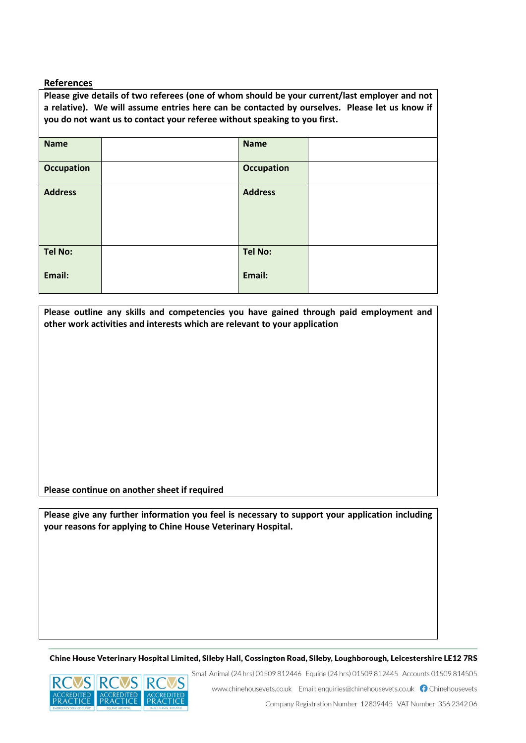#### **References**

**Please give details of two referees (one of whom should be your current/last employer and not a relative). We will assume entries here can be contacted by ourselves. Please let us know if you do not want us to contact your referee without speaking to you first. Name Name Occupation Decupation Occupation Address Address Tel No: Email: Tel No: Email:**

**Please outline any skills and competencies you have gained through paid employment and other work activities and interests which are relevant to your application**

**Please continue on another sheet if required**

**Please give any further information you feel is necessary to support your application including your reasons for applying to Chine House Veterinary Hospital.**

Chine House Veterinary Hospital Limited, Sileby Hall, Cossington Road, Sileby, Loughborough, Leicestershire LE12 7RS





www.chinehousevets.co.uk Email: enquiries@chinehousevets.co.uk nchinehousevets